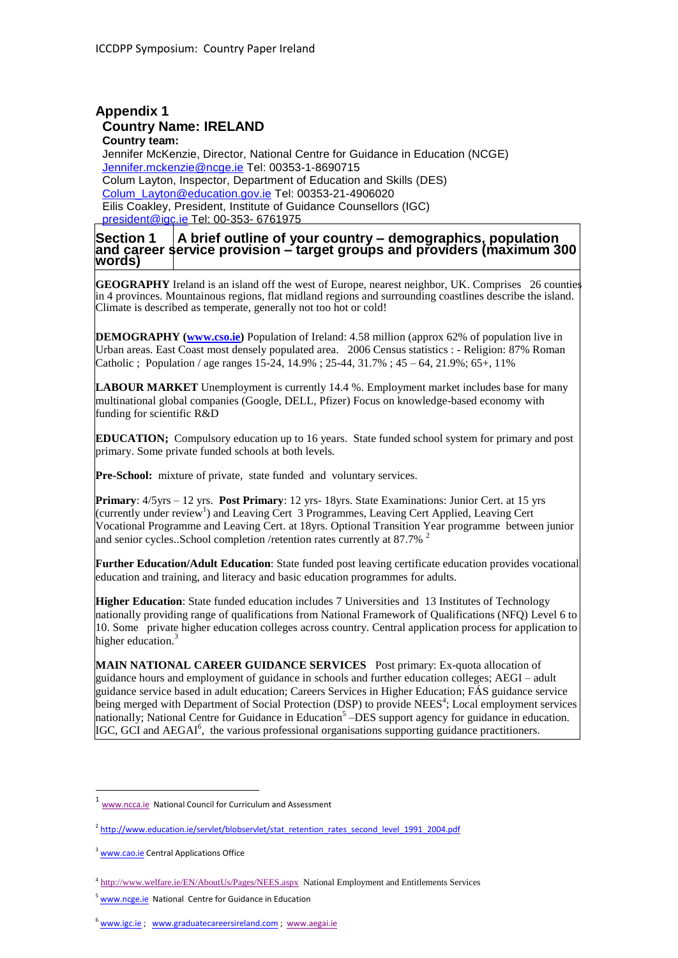#### **Appendix 1 Country Name: IRELAND Country team:**

Jennifer McKenzie, Director, National Centre for Guidance in Education (NCGE) [Jennifer.mckenzie@ncge.ie](mailto:Jennifer.mckenzie@ncge.ie) Tel: 00353-1-8690715 Colum Layton, Inspector, Department of Education and Skills (DES) [Colum\\_Layton@education.gov.ie](mailto:Colum_Layton@education.gov.ie) Tel: 00353-21-4906020 Eilis Coakley, President, Institute of Guidance Counsellors (IGC) [president@igc.ie](mailto:president@igc.ie) Tel: 00-353- 6761975

#### **Section 1 A brief outline of your country – demographics, population and career service provision – target groups and providers (maximum 300 words)**

**GEOGRAPHY** Ireland is an island off the west of Europe, nearest neighbor, UK. Comprises 26 counties in 4 provinces. Mountainous regions, flat midland regions and surrounding coastlines describe the island. Climate is described as temperate, generally not too hot or cold!

**DEMOGRAPHY [\(www.cso.ie\)](http://www.cso.ie/)** Population of Ireland: 4.58 million (approx 62% of population live in Urban areas. East Coast most densely populated area. 2006 Census statistics : - Religion: 87% Roman Catholic ; Population / age ranges 15-24, 14.9% ; 25-44, 31.7% ; 45 – 64, 21.9%; 65+, 11%

LABOUR MARKET Unemployment is currently 14.4 %. Employment market includes base for many multinational global companies (Google, DELL, Pfizer) Focus on knowledge-based economy with funding for scientific R&D

**EDUCATION;** Compulsory education up to 16 years. State funded school system for primary and post primary. Some private funded schools at both levels.

**Pre-School:** mixture of private, state funded and voluntary services.

**Primary**: 4/5yrs – 12 yrs. **Post Primary**: 12 yrs- 18yrs. State Examinations: Junior Cert. at 15 yrs (currently under review<sup>1</sup>) and Leaving Cert 3 Programmes, Leaving Cert Applied, Leaving Cert Vocational Programme and Leaving Cert. at 18yrs. Optional Transition Year programme between junior and senior cycles. School completion /retention rates currently at 87.7%  $^2$ 

**Further Education/Adult Education**: State funded post leaving certificate education provides vocational education and training, and literacy and basic education programmes for adults.

**Higher Education**: State funded education includes 7 Universities and 13 Institutes of Technology nationally providing range of qualifications from National Framework of Qualifications (NFQ) Level 6 to 10. Some private higher education colleges across country. Central application process for application to higher education. $3$ 

**MAIN NATIONAL CAREER GUIDANCE SERVICES** Post primary: Ex-quota allocation of guidance hours and employment of guidance in schools and further education colleges; AEGI – adult guidance service based in adult education; Careers Services in Higher Education; FÁS guidance service being merged with Department of Social Protection (DSP) to provide NEES<sup>4</sup>; Local employment services nationally; National Centre for Guidance in Education<sup>5</sup> – DES support agency for guidance in education. IGC, GCI and AEGAI<sup>6</sup>, the various professional organisations supporting guidance practitioners.

1

<sup>1</sup> [www.ncca.ie](http://www.ncca.ie/) National Council for Curriculum and Assessment

<sup>&</sup>lt;sup>2</sup> [http://www.education.ie/servlet/blobservlet/stat\\_retention\\_rates\\_second\\_level\\_1991\\_2004.pdf](http://www.education.ie/servlet/blobservlet/stat_retention_rates_second_level_1991_2004.pdf)

<sup>&</sup>lt;sup>3</sup> [www.cao.ie](http://www.cao.ie/) Central Applications Office

<sup>4</sup> <http://www.welfare.ie/EN/AboutUs/Pages/NEES.aspx>National Employment and Entitlements Services

<sup>&</sup>lt;sup>5</sup> [www.ncge.ie](http://www.ncge.ie/) National Centre for Guidance in Education

<sup>&</sup>lt;sup>6</sup> [www.igc.ie](http://www.igc.ie/) ; [www.graduatecareersireland.com](http://www.graduatecareersireland.com/) ; [www.aegai.ie](http://www.aegai.ie/)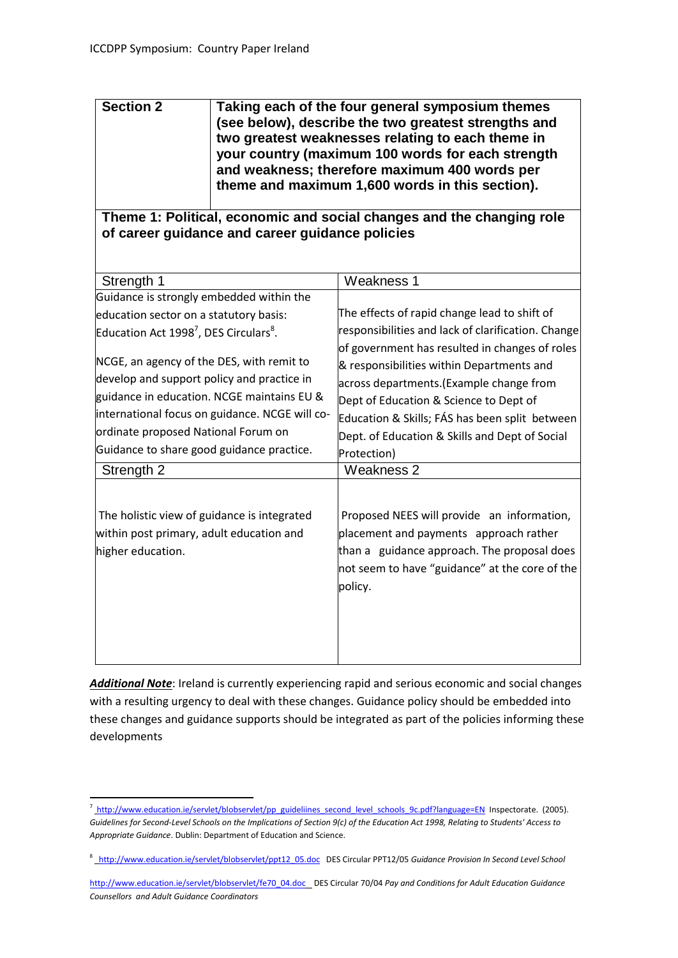| <b>Section 2</b> | Taking each of the four general symposium themes<br>(see below), describe the two greatest strengths and<br>two greatest weaknesses relating to each theme in<br>your country (maximum 100 words for each strength<br>and weakness; therefore maximum 400 words per |
|------------------|---------------------------------------------------------------------------------------------------------------------------------------------------------------------------------------------------------------------------------------------------------------------|
|                  | theme and maximum 1,600 words in this section).                                                                                                                                                                                                                     |

**Theme 1: Political, economic and social changes and the changing role of career guidance and career guidance policies**

| Strength 1                                                                                                                                                                                                                                                                                | Weakness 1                                                                                                                                                                                                                                                                                                                                                               |  |  |  |  |
|-------------------------------------------------------------------------------------------------------------------------------------------------------------------------------------------------------------------------------------------------------------------------------------------|--------------------------------------------------------------------------------------------------------------------------------------------------------------------------------------------------------------------------------------------------------------------------------------------------------------------------------------------------------------------------|--|--|--|--|
| Guidance is strongly embedded within the                                                                                                                                                                                                                                                  |                                                                                                                                                                                                                                                                                                                                                                          |  |  |  |  |
| education sector on a statutory basis:                                                                                                                                                                                                                                                    | The effects of rapid change lead to shift of                                                                                                                                                                                                                                                                                                                             |  |  |  |  |
| Education Act 1998 <sup>7</sup> , DES Circulars <sup>8</sup> .                                                                                                                                                                                                                            | responsibilities and lack of clarification. Change<br>of government has resulted in changes of roles<br>& responsibilities within Departments and<br>across departments. (Example change from<br>Dept of Education & Science to Dept of<br>Education & Skills; FÁS has been split between<br>Dept. of Education & Skills and Dept of Social<br>Protection)<br>Weakness 2 |  |  |  |  |
| NCGE, an agency of the DES, with remit to<br>develop and support policy and practice in<br>guidance in education. NCGE maintains EU &<br>international focus on guidance. NCGE will co-<br>ordinate proposed National Forum on<br>Guidance to share good guidance practice.<br>Strength 2 |                                                                                                                                                                                                                                                                                                                                                                          |  |  |  |  |
| The holistic view of guidance is integrated<br>within post primary, adult education and<br>higher education.                                                                                                                                                                              | Proposed NEES will provide an information,<br>placement and payments approach rather<br>than a guidance approach. The proposal does<br>not seem to have "guidance" at the core of the<br>policy.                                                                                                                                                                         |  |  |  |  |

*Additional Note*: Ireland is currently experiencing rapid and serious economic and social changes with a resulting urgency to deal with these changes. Guidance policy should be embedded into these changes and guidance supports should be integrated as part of the policies informing these developments

 $\ddot{\phantom{a}}$ 

<sup>&</sup>lt;sup>7</sup> [http://www.education.ie/servlet/blobservlet/pp\\_guideliines\\_second\\_level\\_schools\\_9c.pdf?language=EN](http://www.education.ie/servlet/blobservlet/pp_guideliines_second_level_schools_9c.pdf?language=EN)\_Inspectorate. (2005). *Guidelines for Second-Level Schools on the Implications of Section 9(c) of the Education Act 1998, Relating to Students' Access to Appropriate Guidance*. Dublin: Department of Education and Science.

<sup>8</sup> [http://www.education.ie/servlet/blobservlet/ppt12\\_05.doc](http://www.education.ie/servlet/blobservlet/ppt12_05.doc) DES Circular PPT12/05 *Guidance Provision In Second Level School*

[http://www.education.ie/servlet/blobservlet/fe70\\_04.doc](http://www.education.ie/servlet/blobservlet/fe70_04.doc) DES Circular 70/04 *Pay and Conditions for Adult Education Guidance Counsellors and Adult Guidance Coordinators*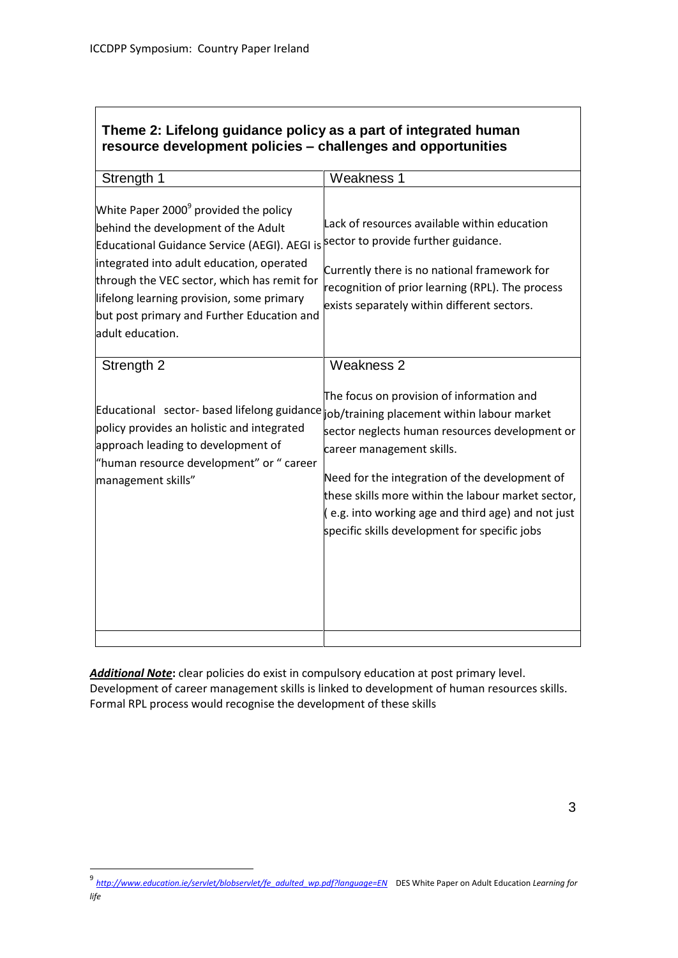## **Theme 2: Lifelong guidance policy as a part of integrated human resource development policies – challenges and opportunities**

| Strength 1                                                                                                                                                                                                                                                                                                                                          | Weakness 1                                                                                                                                                                                                                                                                                                                                                                                                                           |
|-----------------------------------------------------------------------------------------------------------------------------------------------------------------------------------------------------------------------------------------------------------------------------------------------------------------------------------------------------|--------------------------------------------------------------------------------------------------------------------------------------------------------------------------------------------------------------------------------------------------------------------------------------------------------------------------------------------------------------------------------------------------------------------------------------|
| White Paper 2000 <sup>9</sup> provided the policy<br>behind the development of the Adult<br>Educational Guidance Service (AEGI). AEGI is<br>integrated into adult education, operated<br>through the VEC sector, which has remit for<br>lifelong learning provision, some primary<br>but post primary and Further Education and<br>adult education. | Lack of resources available within education<br>sector to provide further guidance.<br>Currently there is no national framework for<br>recognition of prior learning (RPL). The process<br>exists separately within different sectors.                                                                                                                                                                                               |
| Strength 2                                                                                                                                                                                                                                                                                                                                          | <b>Weakness 2</b>                                                                                                                                                                                                                                                                                                                                                                                                                    |
| policy provides an holistic and integrated<br>approach leading to development of<br>"human resource development" or " career<br>management skills"                                                                                                                                                                                                  | The focus on provision of information and<br>Educational sector-based lifelong guidance job/training placement within labour market<br>sector neglects human resources development or<br>career management skills.<br>Need for the integration of the development of<br>these skills more within the labour market sector,<br>$($ e.g. into working age and third age) and not just<br>specific skills development for specific jobs |
|                                                                                                                                                                                                                                                                                                                                                     |                                                                                                                                                                                                                                                                                                                                                                                                                                      |

*Additional Note***:** clear policies do exist in compulsory education at post primary level. Development of career management skills is linked to development of human resources skills. Formal RPL process would recognise the development of these skills

 9 *[http://www.education.ie/servlet/blobservlet/fe\\_adulted\\_wp.pdf?language=EN](http://www.education.ie/servlet/blobservlet/fe_adulted_wp.pdf?language=EN)* DES White Paper on Adult Education *Learning for life*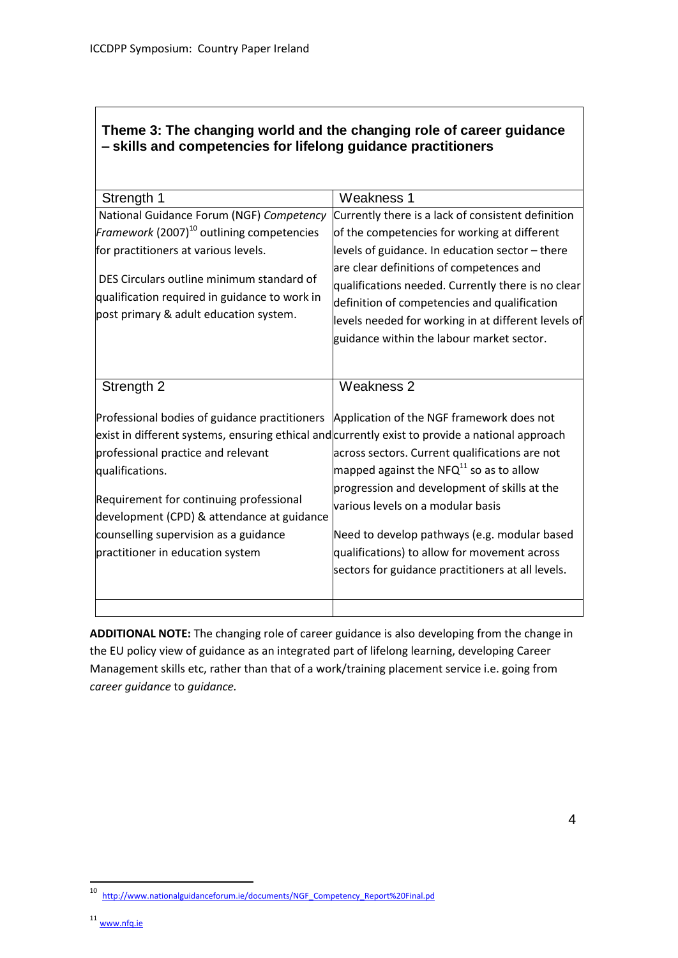# **Theme 3: The changing world and the changing role of career guidance – skills and competencies for lifelong guidance practitioners**

| Strength 1                                                                                                                                                                                                                                                                                                                                                                      | Weakness 1                                                                                                                                                                                                                                                                                                                                                                                   |  |  |  |  |
|---------------------------------------------------------------------------------------------------------------------------------------------------------------------------------------------------------------------------------------------------------------------------------------------------------------------------------------------------------------------------------|----------------------------------------------------------------------------------------------------------------------------------------------------------------------------------------------------------------------------------------------------------------------------------------------------------------------------------------------------------------------------------------------|--|--|--|--|
| National Guidance Forum (NGF) Competency                                                                                                                                                                                                                                                                                                                                        | Currently there is a lack of consistent definition                                                                                                                                                                                                                                                                                                                                           |  |  |  |  |
| Framework (2007) <sup>10</sup> outlining competencies                                                                                                                                                                                                                                                                                                                           | of the competencies for working at different                                                                                                                                                                                                                                                                                                                                                 |  |  |  |  |
| for practitioners at various levels.                                                                                                                                                                                                                                                                                                                                            | levels of guidance. In education sector - there                                                                                                                                                                                                                                                                                                                                              |  |  |  |  |
| DES Circulars outline minimum standard of<br>qualification required in guidance to work in<br>post primary & adult education system.                                                                                                                                                                                                                                            | are clear definitions of competences and<br>qualifications needed. Currently there is no clear<br>definition of competencies and qualification<br>levels needed for working in at different levels of<br>guidance within the labour market sector.                                                                                                                                           |  |  |  |  |
| Strength 2                                                                                                                                                                                                                                                                                                                                                                      | Weakness 2                                                                                                                                                                                                                                                                                                                                                                                   |  |  |  |  |
| Professional bodies of guidance practitioners<br>exist in different systems, ensuring ethical and currently exist to provide a national approach<br>professional practice and relevant<br>qualifications.<br>Requirement for continuing professional<br>development (CPD) & attendance at guidance<br>counselling supervision as a guidance<br>practitioner in education system | Application of the NGF framework does not<br>across sectors. Current qualifications are not<br>mapped against the NFQ <sup>11</sup> so as to allow<br>progression and development of skills at the<br>various levels on a modular basis<br>Need to develop pathways (e.g. modular based<br>qualifications) to allow for movement across<br>sectors for guidance practitioners at all levels. |  |  |  |  |
|                                                                                                                                                                                                                                                                                                                                                                                 |                                                                                                                                                                                                                                                                                                                                                                                              |  |  |  |  |

**ADDITIONAL NOTE:** The changing role of career guidance is also developing from the change in the EU policy view of guidance as an integrated part of lifelong learning, developing Career Management skills etc, rather than that of a work/training placement service i.e. going from *career guidance* to *guidance.*

 $10\,$ [http://www.nationalguidanceforum.ie/documents/NGF\\_Competency\\_Report%20Final.pd](http://www.nationalguidanceforum.ie/documents/NGF_Competency_Report%20Final.pd)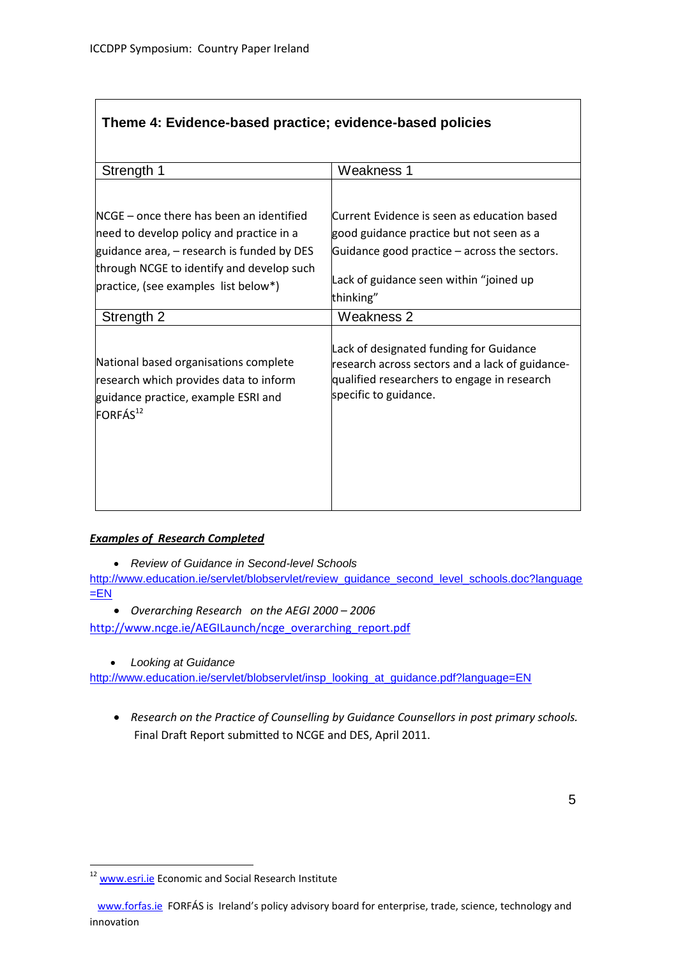| Theme 4: Evidence-based practice; evidence-based policies |  |
|-----------------------------------------------------------|--|
|-----------------------------------------------------------|--|

| Strength 1                                                                                                                                                                      | Weakness 1                                                                                                                                                                                      |  |  |  |
|---------------------------------------------------------------------------------------------------------------------------------------------------------------------------------|-------------------------------------------------------------------------------------------------------------------------------------------------------------------------------------------------|--|--|--|
|                                                                                                                                                                                 |                                                                                                                                                                                                 |  |  |  |
| NCGE – once there has been an identified<br>need to develop policy and practice in a<br>guidance area, – research is funded by DES<br>through NCGE to identify and develop such | Current Evidence is seen as education based<br>good guidance practice but not seen as a<br>Guidance good practice – across the sectors.<br>Lack of guidance seen within "joined up<br>thinking" |  |  |  |
| practice, (see examples list below*)                                                                                                                                            |                                                                                                                                                                                                 |  |  |  |
| Strength 2                                                                                                                                                                      | Weakness 2                                                                                                                                                                                      |  |  |  |
| National based organisations complete<br>research which provides data to inform<br>guidance practice, example ESRI and<br>FORFÁS <sup>12</sup>                                  | Lack of designated funding for Guidance<br>research across sectors and a lack of guidance-<br>qualified researchers to engage in research<br>specific to guidance.                              |  |  |  |

#### *Examples of Research Completed*

*Review of Guidance in Second-level Schools*

[http://www.education.ie/servlet/blobservlet/review\\_guidance\\_second\\_level\\_schools.doc?language](http://www.education.ie/servlet/blobservlet/review_guidance_second_level_schools.doc?language=EN)  $E$ 

*Overarching Research on the AEGI 2000 – 2006*

[http://www.ncge.ie/AEGILaunch/ncge\\_overarching\\_report.pdf](http://www.ncge.ie/AEGILaunch/ncge_overarching_report.pdf)

*Looking at Guidance*

[http://www.education.ie/servlet/blobservlet/insp\\_looking\\_at\\_guidance.pdf?language=EN](http://www.education.ie/servlet/blobservlet/insp_looking_at_guidance.pdf?language=EN)

 *Research on the Practice of Counselling by Guidance Counsellors in post primary schools.* Final Draft Report submitted to NCGE and DES, April 2011.

 $\ddot{\phantom{a}}$ 

<sup>&</sup>lt;sup>12</sup> [www.esri.ie](http://www.esri.ie/) Economic and Social Research Institute

[www.forfas.ie](http://www.forfas.ie/) FORFÁS is Ireland's policy advisory board for enterprise, trade, science, technology and innovation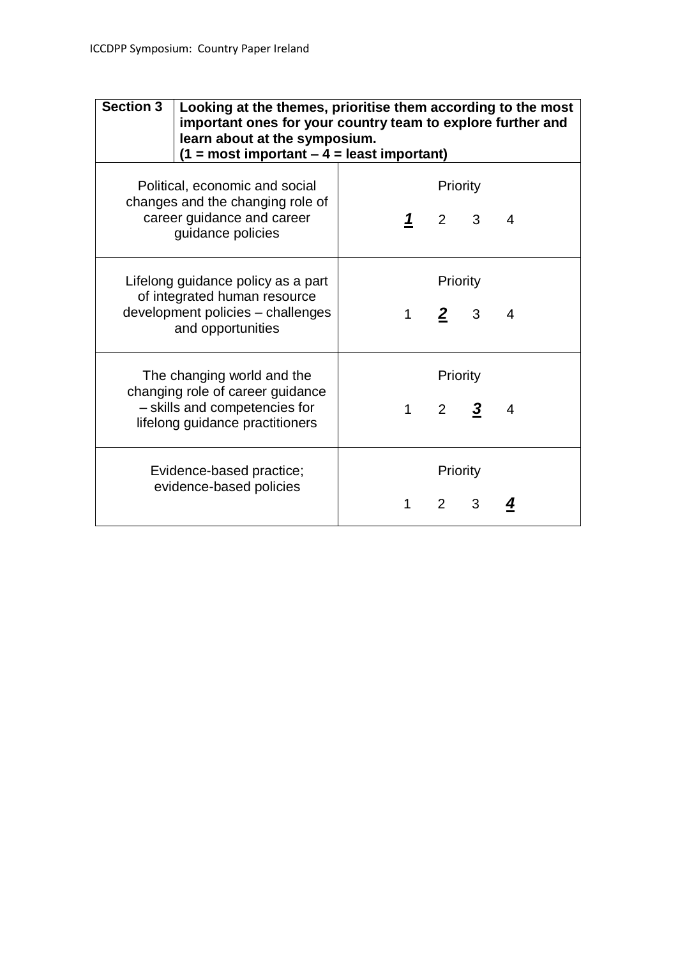| <b>Section 3</b>                                                                                                                   | Looking at the themes, prioritise them according to the most<br>important ones for your country team to explore further and<br>learn about at the symposium.<br>$(1 = most important - 4 = least important)$ |                          |              |                                     |                     |   |  |
|------------------------------------------------------------------------------------------------------------------------------------|--------------------------------------------------------------------------------------------------------------------------------------------------------------------------------------------------------------|--------------------------|--------------|-------------------------------------|---------------------|---|--|
| Political, economic and social<br>changes and the changing role of<br>career guidance and career<br>guidance policies              |                                                                                                                                                                                                              |                          |              | Priority                            | $1 \quad 2 \quad 3$ | 4 |  |
| Lifelong guidance policy as a part<br>of integrated human resource<br>development policies - challenges<br>and opportunities       |                                                                                                                                                                                                              | Priority<br>$1$ 2 3<br>4 |              |                                     |                     |   |  |
| The changing world and the<br>changing role of career guidance<br>- skills and competencies for<br>lifelong guidance practitioners |                                                                                                                                                                                                              |                          | $\mathbf{1}$ | Priority<br>$\overline{\mathbf{2}}$ | 3                   | 4 |  |
|                                                                                                                                    | Evidence-based practice;<br>evidence-based policies                                                                                                                                                          |                          | 1            | Priority<br>$\mathcal{P}$           | 3                   |   |  |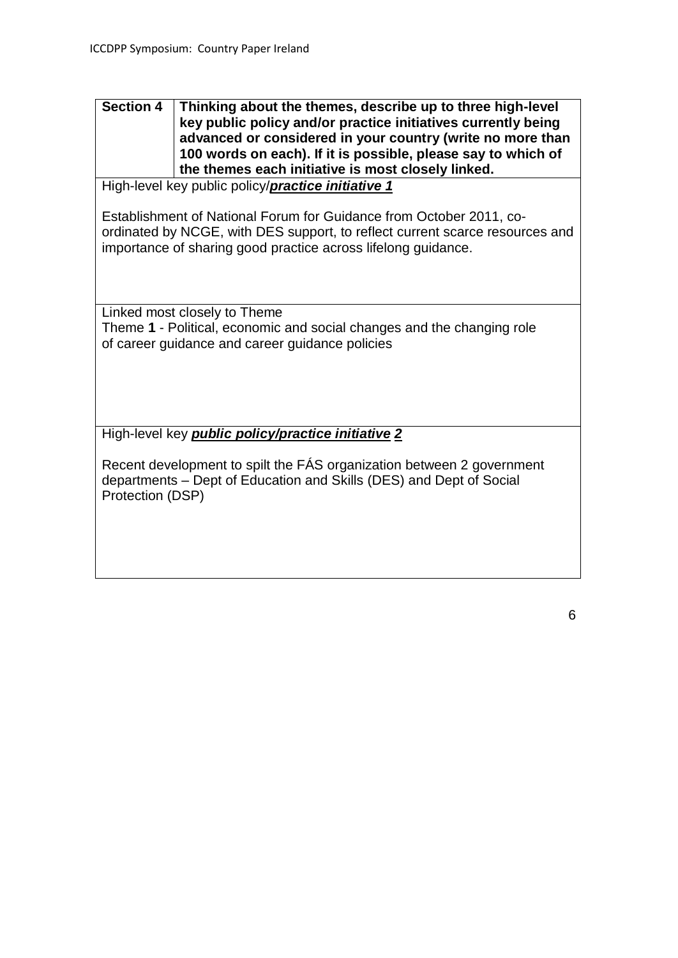### **Section 4 Thinking about the themes, describe up to three high-level key public policy and/or practice initiatives currently being advanced or considered in your country (write no more than 100 words on each). If it is possible, please say to which of the themes each initiative is most closely linked.**

High-level key public policy/*practice initiative 1*

Establishment of National Forum for Guidance from October 2011, coordinated by NCGE, with DES support, to reflect current scarce resources and importance of sharing good practice across lifelong guidance.

Linked most closely to Theme Theme **1** - Political, economic and social changes and the changing role of career guidance and career guidance policies

High-level key *public policy/practice initiative 2*

Recent development to spilt the FÁS organization between 2 government departments – Dept of Education and Skills (DES) and Dept of Social Protection (DSP)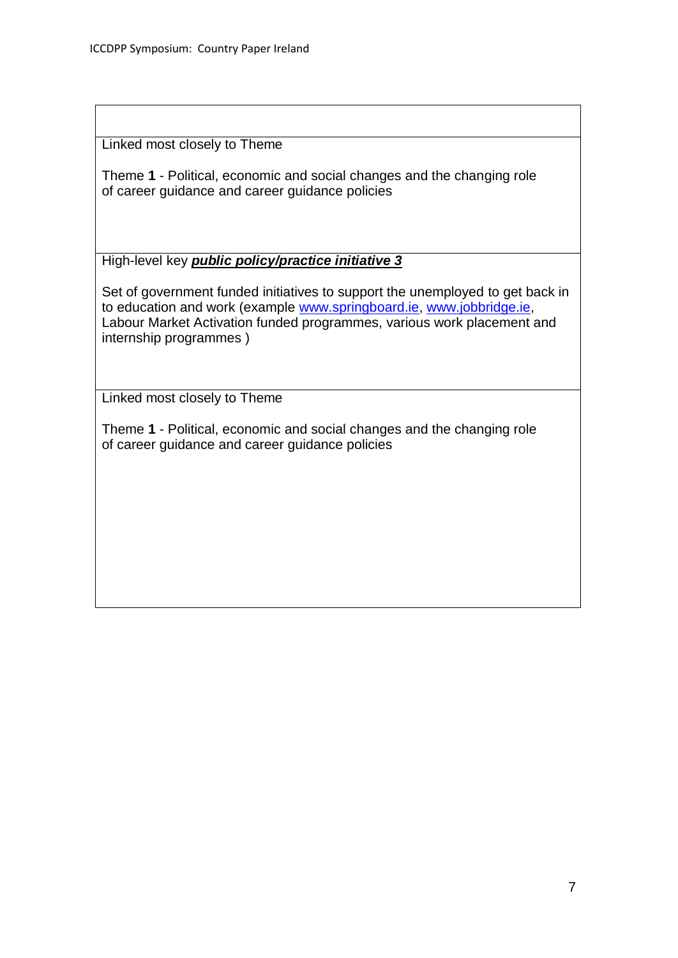Linked most closely to Theme

Theme **1** - Political, economic and social changes and the changing role of career guidance and career guidance policies

High-level key *public policy/practice initiative 3*

Set of government funded initiatives to support the unemployed to get back in to education and work (example [www.springboard.ie,](http://www.springboard.ie/) [www.jobbridge.ie,](http://www.jobbridge.ie/) Labour Market Activation funded programmes, various work placement and internship programmes )

Linked most closely to Theme

Theme **1** - Political, economic and social changes and the changing role of career guidance and career guidance policies